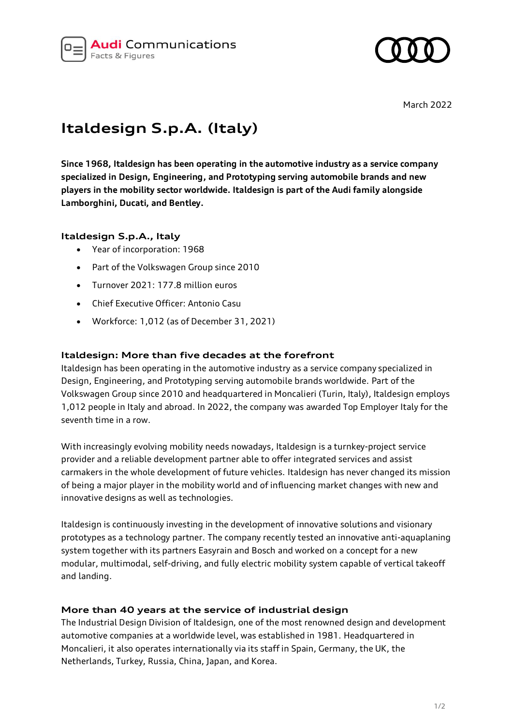



## **Italdesign S.p.A. (Italy)**

**Since 1968, Italdesign has been operating in the automotive industry as a service company specialized in Design, Engineering, and Prototyping serving automobile brands and new players in the mobility sector worldwide. Italdesign is part of the Audi family alongside Lamborghini, Ducati, and Bentley.**

## **Italdesign S.p.A., Italy**

- Year of incorporation: 1968
- Part of the Volkswagen Group since 2010
- Turnover 2021: 177.8 million euros
- Chief Executive Officer: Antonio Casu
- Workforce: 1,012 (as of December 31, 2021)

## **Italdesign: More than five decades at the forefront**

Italdesign has been operating in the automotive industry as a service company specialized in Design, Engineering, and Prototyping serving automobile brands worldwide. Part of the Volkswagen Group since 2010 and headquartered in Moncalieri (Turin, Italy), Italdesign employs 1,012 people in Italy and abroad. In 2022, the company was awarded Top Employer Italy for the seventh time in a row.

With increasingly evolving mobility needs nowadays, Italdesign is a turnkey-project service provider and a reliable development partner able to offer integrated services and assist carmakers in the whole development of future vehicles. Italdesign has never changed its mission of being a major player in the mobility world and of influencing market changes with new and innovative designs as well as technologies.

Italdesign is continuously investing in the development of innovative solutions and visionary prototypes as a technology partner. The company recently tested an innovative anti-aquaplaning system together with its partners Easyrain and Bosch and worked on a concept for a new modular, multimodal, self-driving, and fully electric mobility system capable of vertical takeoff and landing.

## **More than 40 years at the service of industrial design**

The Industrial Design Division of Italdesign, one of the most renowned design and development automotive companies at a worldwide level, was established in 1981. Headquartered in Moncalieri, it also operates internationally via its staff in Spain, Germany, the UK, the Netherlands, Turkey, Russia, China, Japan, and Korea.